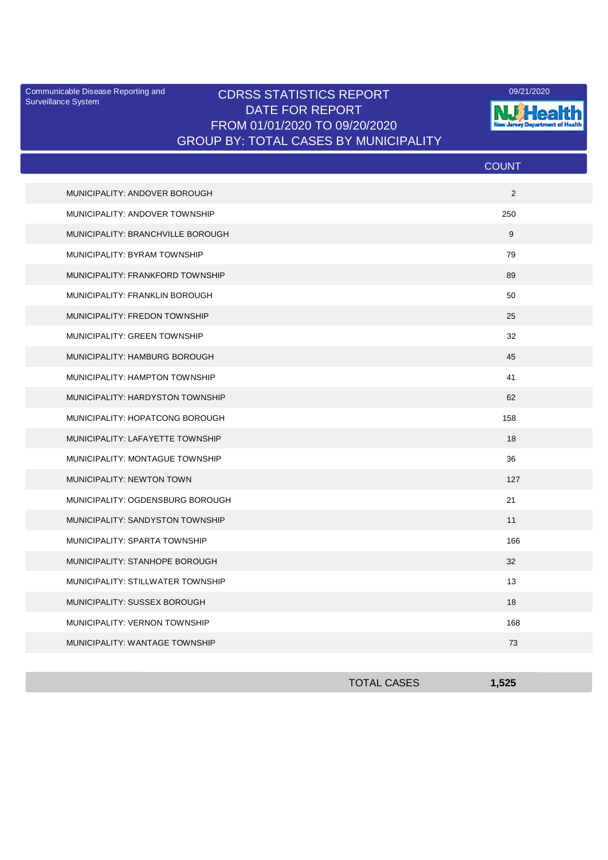Surveillance System

## Communicable Disease Reporting and CDRSS STATISTICS REPORT **COMMUNICAL COMMUNICATION** DATE FOR REPORT FROM 01/01/2020 TO 09/20/2020 GROUP BY: TOTAL CASES BY MUNICIPALITY



|                                   | <b>COUNT</b> |
|-----------------------------------|--------------|
| MUNICIPALITY: ANDOVER BOROUGH     | 2            |
| MUNICIPALITY: ANDOVER TOWNSHIP    | 250          |
| MUNICIPALITY: BRANCHVILLE BOROUGH | 9            |
| MUNICIPALITY: BYRAM TOWNSHIP      | 79           |
| MUNICIPALITY: FRANKFORD TOWNSHIP  | 89           |
| MUNICIPALITY: FRANKLIN BOROUGH    | 50           |
| MUNICIPALITY: FREDON TOWNSHIP     | 25           |
| MUNICIPALITY: GREEN TOWNSHIP      | 32           |
| MUNICIPALITY: HAMBURG BOROUGH     | 45           |
| MUNICIPALITY: HAMPTON TOWNSHIP    | 41           |
| MUNICIPALITY: HARDYSTON TOWNSHIP  | 62           |
| MUNICIPALITY: HOPATCONG BOROUGH   | 158          |
| MUNICIPALITY: LAFAYETTE TOWNSHIP  | 18           |
| MUNICIPALITY: MONTAGUE TOWNSHIP   | 36           |
| MUNICIPALITY: NEWTON TOWN         | 127          |
| MUNICIPALITY: OGDENSBURG BOROUGH  | 21           |
| MUNICIPALITY: SANDYSTON TOWNSHIP  | 11           |
| MUNICIPALITY: SPARTA TOWNSHIP     | 166          |
| MUNICIPALITY: STANHOPE BOROUGH    | 32           |
| MUNICIPALITY: STILLWATER TOWNSHIP | 13           |
| MUNICIPALITY: SUSSEX BOROUGH      | 18           |
| MUNICIPALITY: VERNON TOWNSHIP     | 168          |
| MUNICIPALITY: WANTAGE TOWNSHIP    | 73           |

| <b>TOTAL CASES</b> | 1,525 |
|--------------------|-------|
|                    |       |